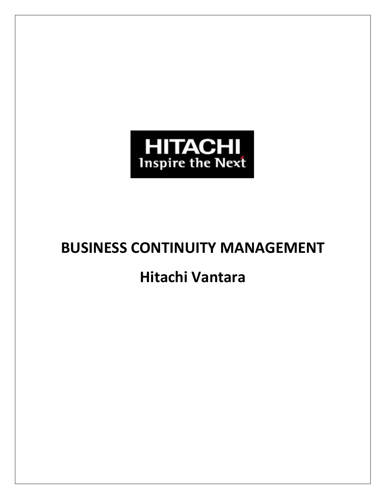

# **BUSINESS CONTINUITY MANAGEMENT**

## **Hitachi Vantara**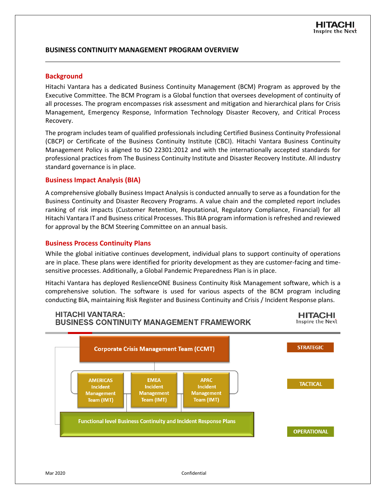## **BUSINESS CONTINUITY MANAGEMENT PROGRAM OVERVIEW**

#### **Background**

Hitachi Vantara has a dedicated Business Continuity Management (BCM) Program as approved by the Executive Committee. The BCM Program is a Global function that oversees development of continuity of all processes. The program encompasses risk assessment and mitigation and hierarchical plans for Crisis Management, Emergency Response, Information Technology Disaster Recovery, and Critical Process Recovery.

The program includes team of qualified professionals including Certified Business Continuity Professional (CBCP) or Certificate of the Business Continuity Institute (CBCI). Hitachi Vantara Business Continuity Management Policy is aligned to ISO 22301:2012 and with the internationally accepted standards for professional practices from The Business Continuity Institute and Disaster Recovery Institute. All industry standard governance is in place.

#### **Business Impact Analysis (BIA)**

A comprehensive globally Business Impact Analysis is conducted annually to serve as a foundation for the Business Continuity and Disaster Recovery Programs. A value chain and the completed report includes ranking of risk impacts (Customer Retention, Reputational, Regulatory Compliance, Financial) for all Hitachi Vantara IT and Business critical Processes. This BIA program information is refreshed and reviewed for approval by the BCM Steering Committee on an annual basis.

#### **Business Process Continuity Plans**

While the global initiative continues development, individual plans to support continuity of operations are in place. These plans were identified for priority development as they are customer-facing and timesensitive processes. Additionally, a Global Pandemic Preparedness Plan is in place.

Hitachi Vantara has deployed ReslienceONE Business Continuity Risk Management software, which is a comprehensive solution. The software is used for various aspects of the BCM program including conducting BIA, maintaining Risk Register and Business Continuity and Crisis / Incident Response plans.

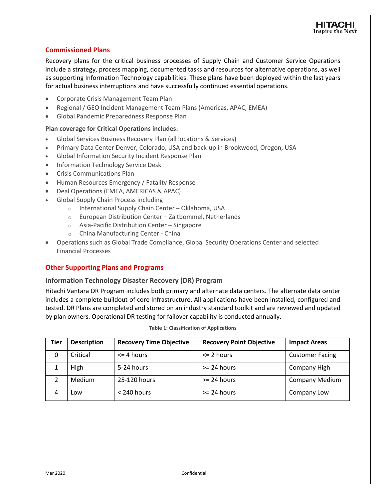## **Commissioned Plans**

Recovery plans for the critical business processes of Supply Chain and Customer Service Operations include a strategy, process mapping, documented tasks and resources for alternative operations, as well as supporting Information Technology capabilities. These plans have been deployed within the last years for actual business interruptions and have successfully continued essential operations.

- Corporate Crisis Management Team Plan
- Regional / GEO Incident Management Team Plans (Americas, APAC, EMEA)
- Global Pandemic Preparedness Response Plan

#### **Plan coverage for Critical Operations includes:**

- Global Services Business Recovery Plan (all locations & Services)
- Primary Data Center Denver, Colorado, USA and back-up in Brookwood, Oregon, USA
- Global Information Security Incident Response Plan
- Information Technology Service Desk
- Crisis Communications Plan
- Human Resources Emergency / Fatality Response
- Deal Operations (EMEA, AMERICAS & APAC)
- Global Supply Chain Process including
	- o International Supply Chain Center Oklahoma, USA
	- o European Distribution Center Zaltbommel, Netherlands
	- o Asia-Pacific Distribution Center Singapore
	- o China Manufacturing Center China
- Operations such as Global Trade Compliance, Global Security Operations Center and selected Financial Processes

## **Other Supporting Plans and Programs**

#### **Information Technology Disaster Recovery (DR) Program**

Hitachi Vantara DR Program includes both primary and alternate data centers. The alternate data center includes a complete buildout of core Infrastructure. All applications have been installed, configured and tested. DR Plans are completed and stored on an industry standard toolkit and are reviewed and updated by plan owners. Operational DR testing for failover capability is conducted annually.

| Tier | <b>Description</b> | <b>Recovery Time Objective</b> | <b>Recovery Point Objective</b> | <b>Impact Areas</b>    |
|------|--------------------|--------------------------------|---------------------------------|------------------------|
| 0    | Critical           | $\leq$ 4 hours                 | $\leq$ 2 hours                  | <b>Customer Facing</b> |
|      | High               | 5-24 hours                     | $>= 24$ hours                   | Company High           |
|      | <b>Medium</b>      | 25-120 hours                   | $>= 24$ hours                   | <b>Company Medium</b>  |
| 4    | Low                | $<$ 240 hours                  | $>= 24$ hours                   | Company Low            |

|  | <b>Table 1: Classification of Applications</b> |  |  |
|--|------------------------------------------------|--|--|
|--|------------------------------------------------|--|--|